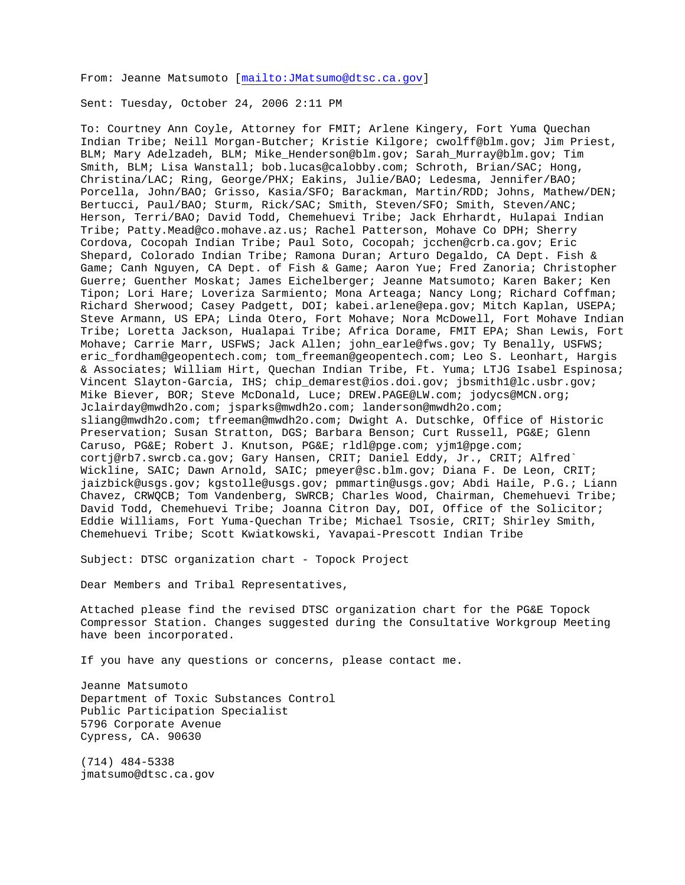From: Jeanne Matsumoto [<mailto:JMatsumo@dtsc.ca.gov>]

Sent: Tuesday, October 24, 2006 2:11 PM

To: Courtney Ann Coyle, Attorney for FMIT; Arlene Kingery, Fort Yuma Quechan Indian Tribe; Neill Morgan-Butcher; Kristie Kilgore; cwolff@blm.gov; Jim Priest, BLM; Mary Adelzadeh, BLM; Mike\_Henderson@blm.gov; Sarah\_Murray@blm.gov; Tim Smith, BLM; Lisa Wanstall; bob.lucas@calobby.com; Schroth, Brian/SAC; Hong, Christina/LAC; Ring, George/PHX; Eakins, Julie/BAO; Ledesma, Jennifer/BAO; Porcella, John/BAO; Grisso, Kasia/SFO; Barackman, Martin/RDD; Johns, Mathew/DEN; Bertucci, Paul/BAO; Sturm, Rick/SAC; Smith, Steven/SFO; Smith, Steven/ANC; Herson, Terri/BAO; David Todd, Chemehuevi Tribe; Jack Ehrhardt, Hulapai Indian Tribe; Patty.Mead@co.mohave.az.us; Rachel Patterson, Mohave Co DPH; Sherry Cordova, Cocopah Indian Tribe; Paul Soto, Cocopah; jcchen@crb.ca.gov; Eric Shepard, Colorado Indian Tribe; Ramona Duran; Arturo Degaldo, CA Dept. Fish & Game; Canh Nguyen, CA Dept. of Fish & Game; Aaron Yue; Fred Zanoria; Christopher Guerre; Guenther Moskat; James Eichelberger; Jeanne Matsumoto; Karen Baker; Ken Tipon; Lori Hare; Loveriza Sarmiento; Mona Arteaga; Nancy Long; Richard Coffman; Richard Sherwood; Casey Padgett, DOI; kabei.arlene@epa.gov; Mitch Kaplan, USEPA; Steve Armann, US EPA; Linda Otero, Fort Mohave; Nora McDowell, Fort Mohave Indian Tribe; Loretta Jackson, Hualapai Tribe; Africa Dorame, FMIT EPA; Shan Lewis, Fort Mohave; Carrie Marr, USFWS; Jack Allen; john\_earle@fws.gov; Ty Benally, USFWS; eric\_fordham@geopentech.com; tom\_freeman@geopentech.com; Leo S. Leonhart, Hargis & Associates; William Hirt, Quechan Indian Tribe, Ft. Yuma; LTJG Isabel Espinosa; Vincent Slayton-Garcia, IHS; chip\_demarest@ios.doi.gov; jbsmith1@lc.usbr.gov; Mike Biever, BOR; Steve McDonald, Luce; DREW.PAGE@LW.com; jodycs@MCN.org; Jclairday@mwdh2o.com; jsparks@mwdh2o.com; landerson@mwdh2o.com; sliang@mwdh2o.com; tfreeman@mwdh2o.com; Dwight A. Dutschke, Office of Historic Preservation; Susan Stratton, DGS; Barbara Benson; Curt Russell, PG&E; Glenn Caruso, PG&E; Robert J. Knutson, PG&E; rldl@pge.com; yjm1@pge.com; cortj@rb7.swrcb.ca.gov; Gary Hansen, CRIT; Daniel Eddy, Jr., CRIT; Alfred` Wickline, SAIC; Dawn Arnold, SAIC; pmeyer@sc.blm.gov; Diana F. De Leon, CRIT; jaizbick@usgs.gov; kgstolle@usgs.gov; pmmartin@usgs.gov; Abdi Haile, P.G.; Liann Chavez, CRWQCB; Tom Vandenberg, SWRCB; Charles Wood, Chairman, Chemehuevi Tribe; David Todd, Chemehuevi Tribe; Joanna Citron Day, DOI, Office of the Solicitor; Eddie Williams, Fort Yuma-Quechan Tribe; Michael Tsosie, CRIT; Shirley Smith, Chemehuevi Tribe; Scott Kwiatkowski, Yavapai-Prescott Indian Tribe

Subject: DTSC organization chart - Topock Project

Dear Members and Tribal Representatives,

Attached please find the revised DTSC organization chart for the PG&E Topock Compressor Station. Changes suggested during the Consultative Workgroup Meeting have been incorporated.

If you have any questions or concerns, please contact me.

Jeanne Matsumoto Department of Toxic Substances Control Public Participation Specialist 5796 Corporate Avenue Cypress, CA. 90630

(714) 484-5338 jmatsumo@dtsc.ca.gov